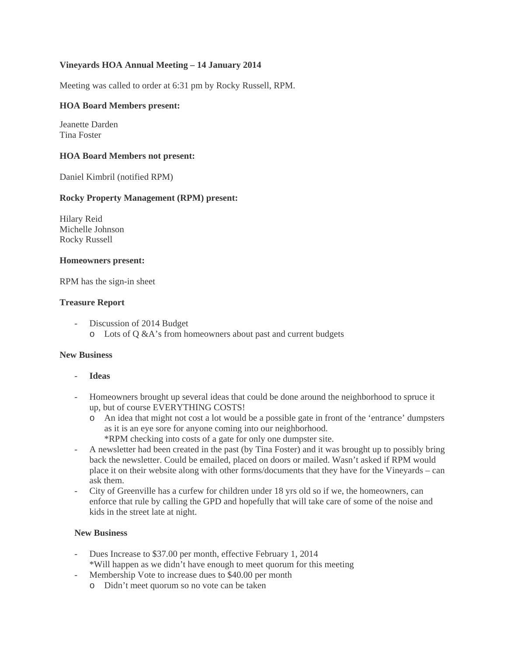# **Vineyards HOA Annual Meeting – 14 January 2014**

Meeting was called to order at 6:31 pm by Rocky Russell, RPM.

### **HOA Board Members present:**

Jeanette Darden Tina Foster

### **HOA Board Members not present:**

Daniel Kimbril (notified RPM)

### **Rocky Property Management (RPM) present:**

Hilary Reid Michelle Johnson Rocky Russell

### **Homeowners present:**

RPM has the sign-in sheet

### **Treasure Report**

- Discussion of 2014 Budget
	- o Lots of Q &A's from homeowners about past and current budgets

#### **New Business**

- **Ideas**
- Homeowners brought up several ideas that could be done around the neighborhood to spruce it up, but of course EVERYTHING COSTS!
	- o An idea that might not cost a lot would be a possible gate in front of the 'entrance' dumpsters as it is an eye sore for anyone coming into our neighborhood.
		- \*RPM checking into costs of a gate for only one dumpster site.
- A newsletter had been created in the past (by Tina Foster) and it was brought up to possibly bring back the newsletter. Could be emailed, placed on doors or mailed. Wasn't asked if RPM would place it on their website along with other forms/documents that they have for the Vineyards – can ask them.
- City of Greenville has a curfew for children under 18 yrs old so if we, the homeowners, can enforce that rule by calling the GPD and hopefully that will take care of some of the noise and kids in the street late at night.

## **New Business**

- Dues Increase to \$37.00 per month, effective February 1, 2014 \*Will happen as we didn't have enough to meet quorum for this meeting
- Membership Vote to increase dues to \$40.00 per month
	- o Didn't meet quorum so no vote can be taken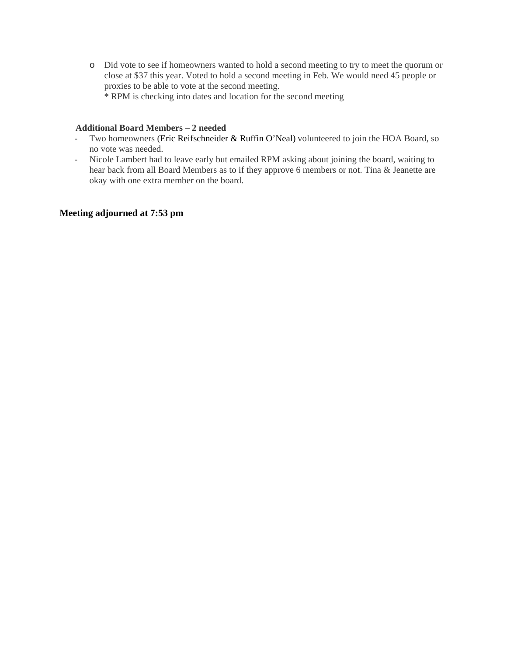- o Did vote to see if homeowners wanted to hold a second meeting to try to meet the quorum or close at \$37 this year. Voted to hold a second meeting in Feb. We would need 45 people or proxies to be able to vote at the second meeting. \* RPM is checking into dates and location for the second meeting
- 

# **Additional Board Members – 2 needed**

- Two homeowners (Eric Reifschneider & Ruffin O'Neal) volunteered to join the HOA Board, so no vote was needed.
- Nicole Lambert had to leave early but emailed RPM asking about joining the board, waiting to hear back from all Board Members as to if they approve 6 members or not. Tina & Jeanette are okay with one extra member on the board.

### **Meeting adjourned at 7:53 pm**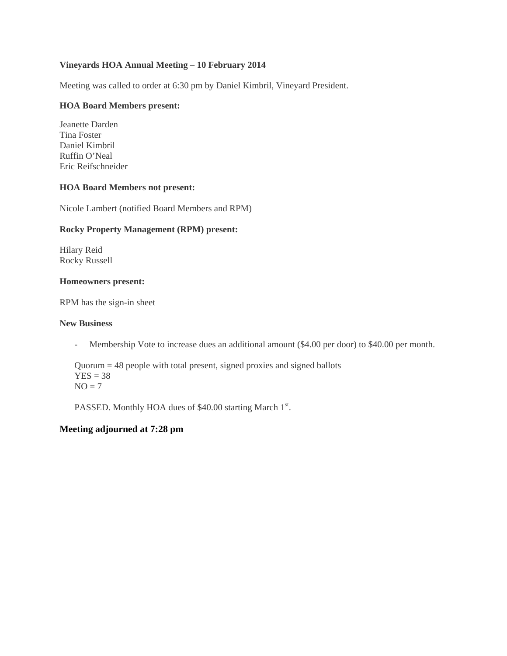# **Vineyards HOA Annual Meeting – 10 February 2014**

Meeting was called to order at 6:30 pm by Daniel Kimbril, Vineyard President.

### **HOA Board Members present:**

Jeanette Darden Tina Foster Daniel Kimbril Ruffin O'Neal Eric Reifschneider

### **HOA Board Members not present:**

Nicole Lambert (notified Board Members and RPM)

### **Rocky Property Management (RPM) present:**

Hilary Reid Rocky Russell

### **Homeowners present:**

RPM has the sign-in sheet

#### **New Business**

- Membership Vote to increase dues an additional amount (\$4.00 per door) to \$40.00 per month.

Quorum = 48 people with total present, signed proxies and signed ballots  $YES = 38$  $NO = 7$ 

PASSED. Monthly HOA dues of \$40.00 starting March 1st.

# **Meeting adjourned at 7:28 pm**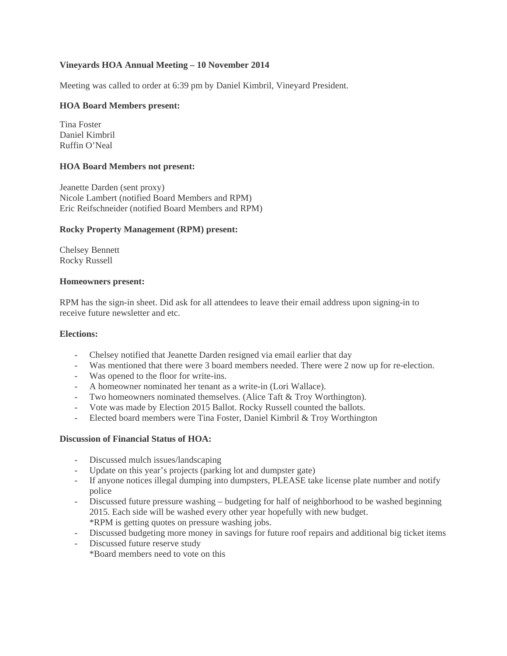## **Vineyards HOA Annual Meeting – 10 November 2014**

Meeting was called to order at 6:39 pm by Daniel Kimbril, Vineyard President.

# **HOA Board Members present:**

Tina Foster Daniel Kimbril Ruffin O'Neal

# **HOA Board Members not present:**

Jeanette Darden (sent proxy) Nicole Lambert (notified Board Members and RPM) Eric Reifschneider (notified Board Members and RPM)

# **Rocky Property Management (RPM) present:**

Chelsey Bennett Rocky Russell

## **Homeowners present:**

RPM has the sign-in sheet. Did ask for all attendees to leave their email address upon signing-in to receive future newsletter and etc.

## **Elections:**

- Chelsey notified that Jeanette Darden resigned via email earlier that day
- Was mentioned that there were 3 board members needed. There were 2 now up for re-election.
- Was opened to the floor for write-ins.
- A homeowner nominated her tenant as a write-in (Lori Wallace).
- Two homeowners nominated themselves. (Alice Taft & Troy Worthington).
- Vote was made by Election 2015 Ballot. Rocky Russell counted the ballots.
- Elected board members were Tina Foster, Daniel Kimbril & Troy Worthington

## **Discussion of Financial Status of HOA:**

- Discussed mulch issues/landscaping
- Update on this year's projects (parking lot and dumpster gate)
- If anyone notices illegal dumping into dumpsters, PLEASE take license plate number and notify police
- Discussed future pressure washing budgeting for half of neighborhood to be washed beginning 2015. Each side will be washed every other year hopefully with new budget. \*RPM is getting quotes on pressure washing jobs.
- Discussed budgeting more money in savings for future roof repairs and additional big ticket items
- Discussed future reserve study
	- \*Board members need to vote on this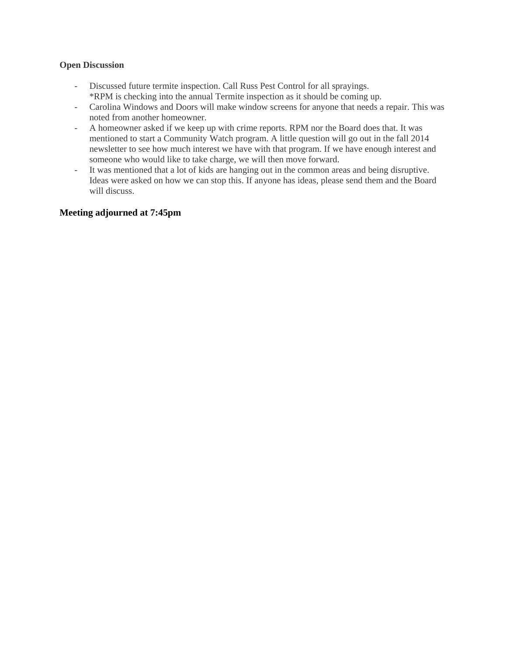## **Open Discussion**

- Discussed future termite inspection. Call Russ Pest Control for all sprayings. \*RPM is checking into the annual Termite inspection as it should be coming up.
- Carolina Windows and Doors will make window screens for anyone that needs a repair. This was noted from another homeowner.
- A homeowner asked if we keep up with crime reports. RPM nor the Board does that. It was mentioned to start a Community Watch program. A little question will go out in the fall 2014 newsletter to see how much interest we have with that program. If we have enough interest and someone who would like to take charge, we will then move forward.
- It was mentioned that a lot of kids are hanging out in the common areas and being disruptive. Ideas were asked on how we can stop this. If anyone has ideas, please send them and the Board will discuss.

# **Meeting adjourned at 7:45pm**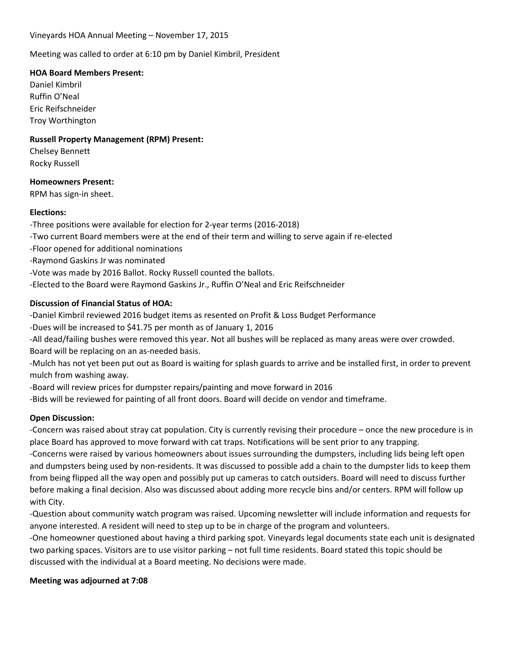## Vineyards HOA Annual Meeting – November 17, 2015

Meeting was called to order at 6:10 pm by Daniel Kimbril, President

## **HOA Board Members Present:**

Daniel Kimbril Ruffin O'Neal Eric Reifschneider Troy Worthington

# **Russell Property Management (RPM) Present:**

Chelsey Bennett Rocky Russell

## **Homeowners Present:**

RPM has sign-in sheet.

# **Elections:**

- -Three positions were available for election for 2-year terms (2016-2018)
- -Two current Board members were at the end of their term and willing to serve again if re-elected
- -Floor opened for additional nominations
- -Raymond Gaskins Jr was nominated
- -Vote was made by 2016 Ballot. Rocky Russell counted the ballots.
- -Elected to the Board were Raymond Gaskins Jr., Ruffin O'Neal and Eric Reifschneider

# **Discussion of Financial Status of HOA:**

- -Daniel Kimbril reviewed 2016 budget items as resented on Profit & Loss Budget Performance
- -Dues will be increased to \$41.75 per month as of January 1, 2016
- -All dead/failing bushes were removed this year. Not all bushes will be replaced as many areas were over crowded. Board will be replacing on an as-needed basis.

-Mulch has not yet been put out as Board is waiting for splash guards to arrive and be installed first, in order to prevent mulch from washing away.

-Board will review prices for dumpster repairs/painting and move forward in 2016

-Bids will be reviewed for painting of all front doors. Board will decide on vendor and timeframe.

# **Open Discussion:**

-Concern was raised about stray cat population. City is currently revising their procedure – once the new procedure is in place Board has approved to move forward with cat traps. Notifications will be sent prior to any trapping.

-Concerns were raised by various homeowners about issues surrounding the dumpsters, including lids being left open and dumpsters being used by non-residents. It was discussed to possible add a chain to the dumpster lids to keep them from being flipped all the way open and possibly put up cameras to catch outsiders. Board will need to discuss further before making a final decision. Also was discussed about adding more recycle bins and/or centers. RPM will follow up with City.

-Question about community watch program was raised. Upcoming newsletter will include information and requests for anyone interested. A resident will need to step up to be in charge of the program and volunteers.

-One homeowner questioned about having a third parking spot. Vineyards legal documents state each unit is designated two parking spaces. Visitors are to use visitor parking – not full time residents. Board stated this topic should be discussed with the individual at a Board meeting. No decisions were made.

## **Meeting was adjourned at 7:08**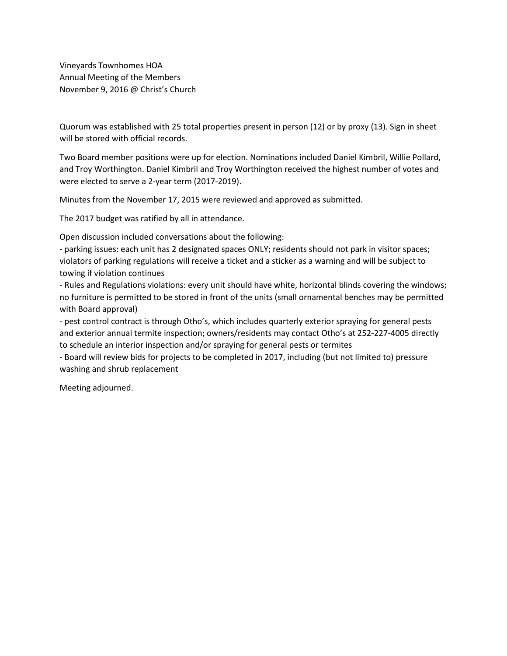Vineyards Townhomes HOA Annual Meeting of the Members November 9, 2016 @ Christ's Church

Quorum was established with 25 total properties present in person (12) or by proxy (13). Sign in sheet will be stored with official records.

Two Board member positions were up for election. Nominations included Daniel Kimbril, Willie Pollard, and Troy Worthington. Daniel Kimbril and Troy Worthington received the highest number of votes and were elected to serve a 2-year term (2017-2019).

Minutes from the November 17, 2015 were reviewed and approved as submitted.

The 2017 budget was ratified by all in attendance.

Open discussion included conversations about the following:

- parking issues: each unit has 2 designated spaces ONLY; residents should not park in visitor spaces; violators of parking regulations will receive a ticket and a sticker as a warning and will be subject to towing if violation continues

- Rules and Regulations violations: every unit should have white, horizontal blinds covering the windows; no furniture is permitted to be stored in front of the units (small ornamental benches may be permitted with Board approval)

- pest control contract is through Otho's, which includes quarterly exterior spraying for general pests and exterior annual termite inspection; owners/residents may contact Otho's at 252-227-4005 directly to schedule an interior inspection and/or spraying for general pests or termites

- Board will review bids for projects to be completed in 2017, including (but not limited to) pressure washing and shrub replacement

Meeting adjourned.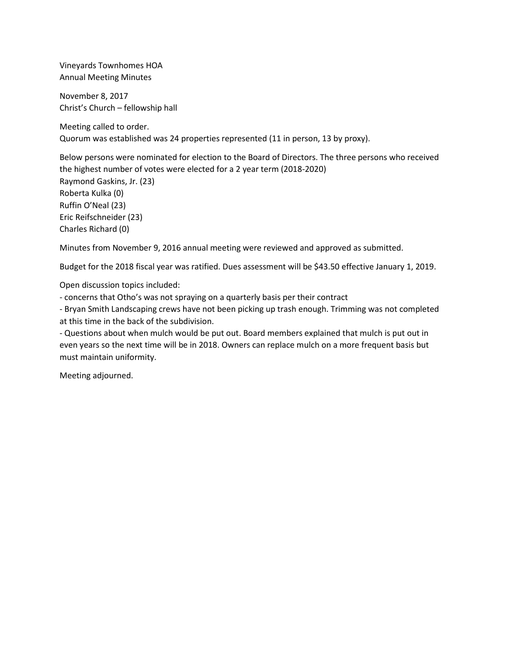Vineyards Townhomes HOA Annual Meeting Minutes

November 8, 2017 Christ's Church – fellowship hall

Meeting called to order. Quorum was established was 24 properties represented (11 in person, 13 by proxy).

Below persons were nominated for election to the Board of Directors. The three persons who received the highest number of votes were elected for a 2 year term (2018-2020) Raymond Gaskins, Jr. (23) Roberta Kulka (0) Ruffin O'Neal (23) Eric Reifschneider (23) Charles Richard (0)

Minutes from November 9, 2016 annual meeting were reviewed and approved as submitted.

Budget for the 2018 fiscal year was ratified. Dues assessment will be \$43.50 effective January 1, 2019.

Open discussion topics included:

- concerns that Otho's was not spraying on a quarterly basis per their contract

- Bryan Smith Landscaping crews have not been picking up trash enough. Trimming was not completed at this time in the back of the subdivision.

- Questions about when mulch would be put out. Board members explained that mulch is put out in even years so the next time will be in 2018. Owners can replace mulch on a more frequent basis but must maintain uniformity.

Meeting adjourned.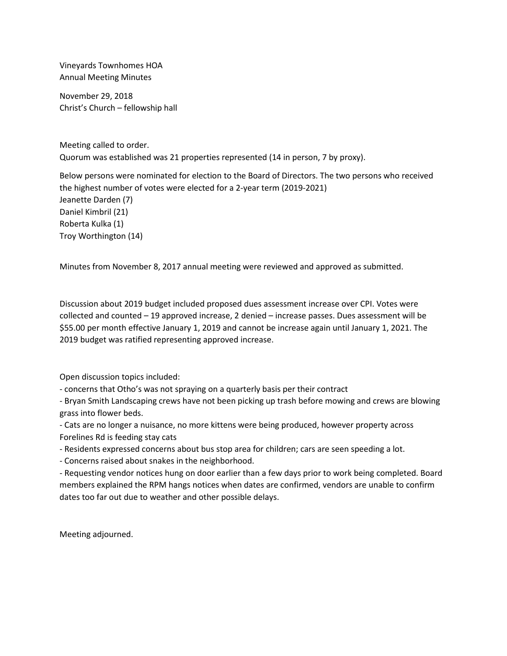Vineyards Townhomes HOA Annual Meeting Minutes

November 29, 2018 Christ's Church – fellowship hall

Meeting called to order. Quorum was established was 21 properties represented (14 in person, 7 by proxy).

Below persons were nominated for election to the Board of Directors. The two persons who received the highest number of votes were elected for a 2-year term (2019-2021) Jeanette Darden (7) Daniel Kimbril (21) Roberta Kulka (1) Troy Worthington (14)

Minutes from November 8, 2017 annual meeting were reviewed and approved as submitted.

Discussion about 2019 budget included proposed dues assessment increase over CPI. Votes were collected and counted – 19 approved increase, 2 denied – increase passes. Dues assessment will be \$55.00 per month effective January 1, 2019 and cannot be increase again until January 1, 2021. The 2019 budget was ratified representing approved increase.

Open discussion topics included:

- concerns that Otho's was not spraying on a quarterly basis per their contract

- Bryan Smith Landscaping crews have not been picking up trash before mowing and crews are blowing grass into flower beds.

- Cats are no longer a nuisance, no more kittens were being produced, however property across Forelines Rd is feeding stay cats

- Residents expressed concerns about bus stop area for children; cars are seen speeding a lot.

- Concerns raised about snakes in the neighborhood.

- Requesting vendor notices hung on door earlier than a few days prior to work being completed. Board members explained the RPM hangs notices when dates are confirmed, vendors are unable to confirm dates too far out due to weather and other possible delays.

Meeting adjourned.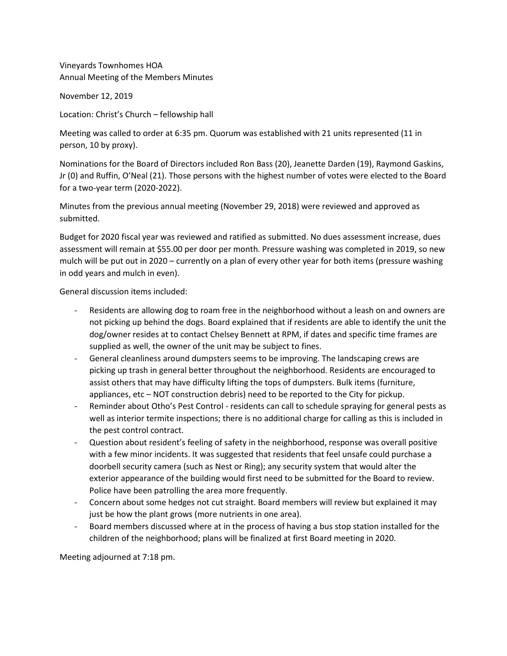Vineyards Townhomes HOA Annual Meeting of the Members Minutes

November 12, 2019

Location: Christ's Church – fellowship hall

Meeting was called to order at 6:35 pm. Quorum was established with 21 units represented (11 in person, 10 by proxy).

Nominations for the Board of Directors included Ron Bass (20), Jeanette Darden (19), Raymond Gaskins, Jr (0) and Ruffin, O'Neal (21). Those persons with the highest number of votes were elected to the Board for a two-year term (2020-2022).

Minutes from the previous annual meeting (November 29, 2018) were reviewed and approved as submitted.

Budget for 2020 fiscal year was reviewed and ratified as submitted. No dues assessment increase, dues assessment will remain at \$55.00 per door per month. Pressure washing was completed in 2019, so new mulch will be put out in 2020 – currently on a plan of every other year for both items (pressure washing in odd years and mulch in even).

General discussion items included:

- Residents are allowing dog to roam free in the neighborhood without a leash on and owners are not picking up behind the dogs. Board explained that if residents are able to identify the unit the dog/owner resides at to contact Chelsey Bennett at RPM, if dates and specific time frames are supplied as well, the owner of the unit may be subject to fines.
- General cleanliness around dumpsters seems to be improving. The landscaping crews are picking up trash in general better throughout the neighborhood. Residents are encouraged to assist others that may have difficulty lifting the tops of dumpsters. Bulk items (furniture, appliances, etc – NOT construction debris) need to be reported to the City for pickup.
- Reminder about Otho's Pest Control residents can call to schedule spraying for general pests as well as interior termite inspections; there is no additional charge for calling as this is included in the pest control contract.
- Question about resident's feeling of safety in the neighborhood, response was overall positive with a few minor incidents. It was suggested that residents that feel unsafe could purchase a doorbell security camera (such as Nest or Ring); any security system that would alter the exterior appearance of the building would first need to be submitted for the Board to review. Police have been patrolling the area more frequently.
- Concern about some hedges not cut straight. Board members will review but explained it may just be how the plant grows (more nutrients in one area).
- Board members discussed where at in the process of having a bus stop station installed for the children of the neighborhood; plans will be finalized at first Board meeting in 2020.

Meeting adjourned at 7:18 pm.